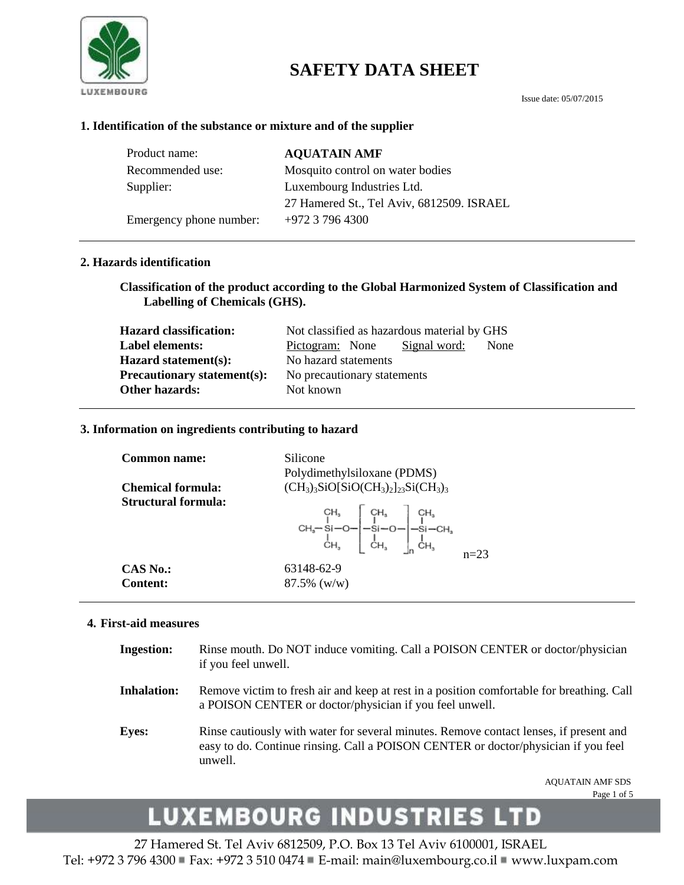

## **SAFETY DATA SHEET**

### **1. Identification of the substance or mixture and of the supplier**

| Product name:           | <b>AQUATAIN AMF</b>                       |
|-------------------------|-------------------------------------------|
| Recommended use:        | Mosquito control on water bodies          |
| Supplier:               | Luxembourg Industries Ltd.                |
|                         | 27 Hamered St., Tel Aviv, 6812509. ISRAEL |
| Emergency phone number: | +972 3 796 4300                           |

### **2. Hazards identification**

**Classification of the product according to the Global Harmonized System of Classification and Labelling of Chemicals (GHS).**

| <b>Hazard classification:</b>      | Not classified as hazardous material by GHS |
|------------------------------------|---------------------------------------------|
| Label elements:                    | Signal word:<br>None<br>Pictogram: None     |
| Hazard statement(s):               | No hazard statements                        |
| <b>Precautionary statement(s):</b> | No precautionary statements                 |
| Other hazards:                     | Not known                                   |

### **3. Information on ingredients contributing to hazard**

| <b>Common name:</b>      | Silicone<br>Polydimethylsiloxane (PDMS)                                                             |
|--------------------------|-----------------------------------------------------------------------------------------------------|
| <b>Chemical formula:</b> | $(CH_3)_3$ SiO[SiO(CH <sub>3</sub> ) <sub>2</sub> ] <sub>23</sub> Si(CH <sub>3</sub> ) <sub>3</sub> |
| Structural formula:      | $n = 23$                                                                                            |
| <b>CAS No.:</b>          | 63148-62-9                                                                                          |
| <b>Content:</b>          | $87.5\%$ (w/w)                                                                                      |

#### **4. First-aid measures**

| <b>Ingestion:</b>  | Rinse mouth. Do NOT induce vomiting. Call a POISON CENTER or doctor/physician<br>if you feel unwell.                                                                                    |
|--------------------|-----------------------------------------------------------------------------------------------------------------------------------------------------------------------------------------|
| <b>Inhalation:</b> | Remove victim to fresh air and keep at rest in a position comfortable for breathing. Call<br>a POISON CENTER or doctor/physician if you feel unwell.                                    |
| <b>Eyes:</b>       | Rinse cautiously with water for several minutes. Remove contact lenses, if present and<br>easy to do. Continue rinsing. Call a POISON CENTER or doctor/physician if you feel<br>unwell. |

AQUATAIN AMF SDS Page 1 of 5

# LUXEMBOURG INDUSTRIES LTD

27 Hamered St. Tel Aviv 6812509, P.O. Box 13 Tel Aviv 6100001, ISRAEL Tel: +972 3 796 4300 Fax: +972 3 510 0474 E-mail: main@luxembourg.co.il www.luxpam.com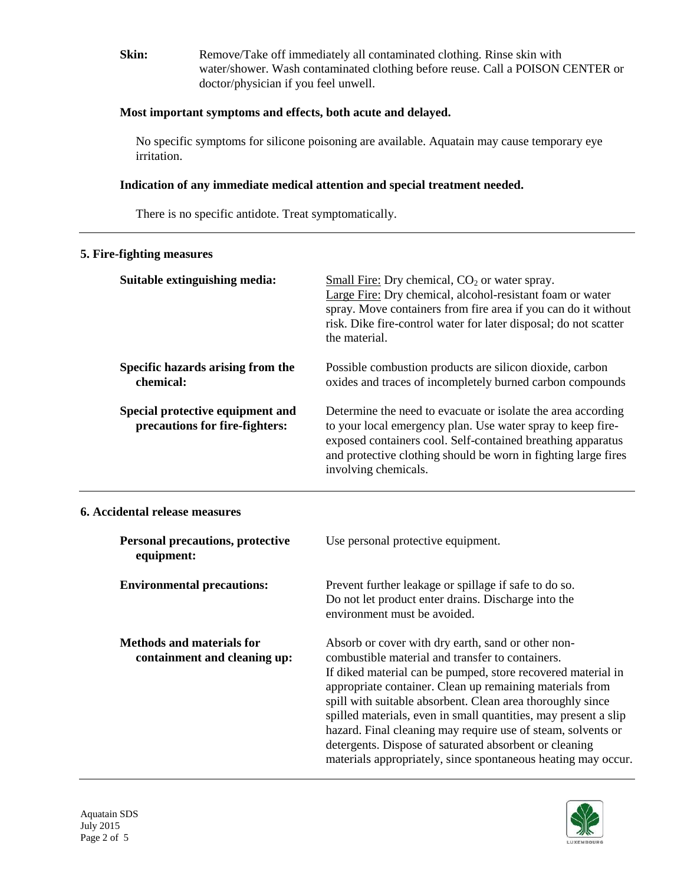**Skin:** Remove/Take off immediately all contaminated clothing. Rinse skin with water/shower. Wash contaminated clothing before reuse. Call a POISON CENTER or doctor/physician if you feel unwell.

## **Most important symptoms and effects, both acute and delayed.**

No specific symptoms for silicone poisoning are available. Aquatain may cause temporary eye irritation.

## **Indication of any immediate medical attention and special treatment needed.**

There is no specific antidote. Treat symptomatically.

## **5. Fire-fighting measures**

| Suitable extinguishing media:                                      | Small Fire: Dry chemical, $CO2$ or water spray.<br>Large Fire: Dry chemical, alcohol-resistant foam or water<br>spray. Move containers from fire area if you can do it without<br>risk. Dike fire-control water for later disposal; do not scatter<br>the material.                                                                                                                                                                                                                                                                                            |
|--------------------------------------------------------------------|----------------------------------------------------------------------------------------------------------------------------------------------------------------------------------------------------------------------------------------------------------------------------------------------------------------------------------------------------------------------------------------------------------------------------------------------------------------------------------------------------------------------------------------------------------------|
| Specific hazards arising from the<br>chemical:                     | Possible combustion products are silicon dioxide, carbon<br>oxides and traces of incompletely burned carbon compounds                                                                                                                                                                                                                                                                                                                                                                                                                                          |
| Special protective equipment and<br>precautions for fire-fighters: | Determine the need to evacuate or isolate the area according<br>to your local emergency plan. Use water spray to keep fire-<br>exposed containers cool. Self-contained breathing apparatus<br>and protective clothing should be worn in fighting large fires<br>involving chemicals.                                                                                                                                                                                                                                                                           |
| 6. Accidental release measures                                     |                                                                                                                                                                                                                                                                                                                                                                                                                                                                                                                                                                |
| <b>Personal precautions, protective</b><br>equipment:              | Use personal protective equipment.                                                                                                                                                                                                                                                                                                                                                                                                                                                                                                                             |
| <b>Environmental precautions:</b>                                  | Prevent further leakage or spillage if safe to do so.<br>Do not let product enter drains. Discharge into the<br>environment must be avoided.                                                                                                                                                                                                                                                                                                                                                                                                                   |
| <b>Methods and materials for</b><br>containment and cleaning up:   | Absorb or cover with dry earth, sand or other non-<br>combustible material and transfer to containers.<br>If diked material can be pumped, store recovered material in<br>appropriate container. Clean up remaining materials from<br>spill with suitable absorbent. Clean area thoroughly since<br>spilled materials, even in small quantities, may present a slip<br>hazard. Final cleaning may require use of steam, solvents or<br>detergents. Dispose of saturated absorbent or cleaning<br>materials appropriately, since spontaneous heating may occur. |



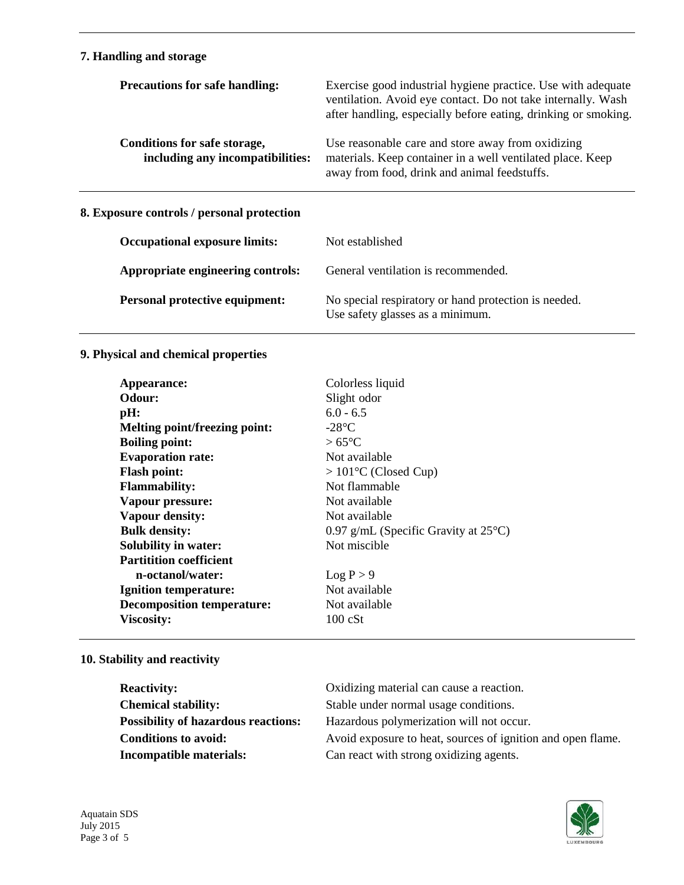## **7. Handling and storage**

| <b>Precautions for safe handling:</b>                            | Exercise good industrial hygiene practice. Use with adequate<br>ventilation. Avoid eye contact. Do not take internally. Wash<br>after handling, especially before eating, drinking or smoking. |
|------------------------------------------------------------------|------------------------------------------------------------------------------------------------------------------------------------------------------------------------------------------------|
| Conditions for safe storage,<br>including any incompatibilities: | Use reasonable care and store away from oxidizing<br>materials. Keep container in a well ventilated place. Keep<br>away from food, drink and animal feedstuffs.                                |
| 8. Exposure controls / personal protection                       |                                                                                                                                                                                                |
| <b>Occupational exposure limits:</b>                             | Not established                                                                                                                                                                                |
| Appropriate engineering controls:                                | General ventilation is recommended.                                                                                                                                                            |
| <b>Personal protective equipment:</b>                            | No special respiratory or hand protection is needed.<br>Use safety glasses as a minimum.                                                                                                       |

## **9. Physical and chemical properties**

| Appearance:                          | Colorless liquid                               |
|--------------------------------------|------------------------------------------------|
| <b>Odour:</b>                        | Slight odor                                    |
| pH:                                  | $6.0 - 6.5$                                    |
| <b>Melting point/freezing point:</b> | $-28$ °C                                       |
| <b>Boiling point:</b>                | $>65^{\circ}$ C                                |
| <b>Evaporation rate:</b>             | Not available                                  |
| <b>Flash point:</b>                  | $>101^{\circ}$ C (Closed Cup)                  |
| <b>Flammability:</b>                 | Not flammable                                  |
| Vapour pressure:                     | Not available                                  |
| <b>Vapour density:</b>               | Not available                                  |
| <b>Bulk density:</b>                 | 0.97 g/mL (Specific Gravity at $25^{\circ}$ C) |
| <b>Solubility in water:</b>          | Not miscible                                   |
| <b>Partitition coefficient</b>       |                                                |
| n-octanol/water:                     | Log P > 9                                      |
| <b>Ignition temperature:</b>         | Not available                                  |
| <b>Decomposition temperature:</b>    | Not available                                  |
| <b>Viscosity:</b>                    | $100 \text{ cSt}$                              |

## **10. Stability and reactivity**

| <b>Reactivity:</b>                         | Oxidizing material can cause a reaction.                    |
|--------------------------------------------|-------------------------------------------------------------|
| <b>Chemical stability:</b>                 | Stable under normal usage conditions.                       |
| <b>Possibility of hazardous reactions:</b> | Hazardous polymerization will not occur.                    |
| <b>Conditions to avoid:</b>                | Avoid exposure to heat, sources of ignition and open flame. |
| <b>Incompatible materials:</b>             | Can react with strong oxidizing agents.                     |

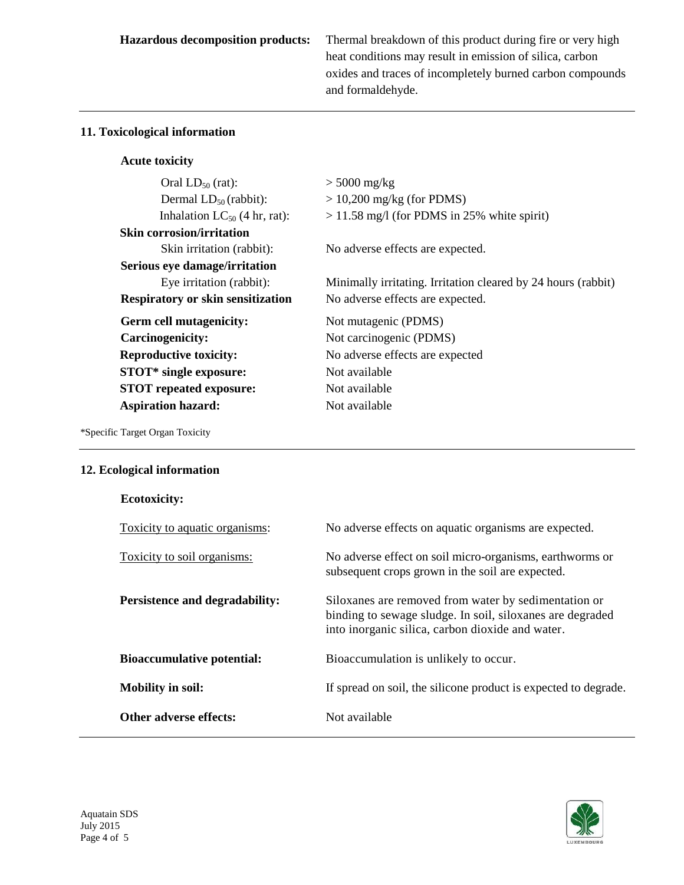**Hazardous decomposition products:** Thermal breakdown of this product during fire or very high heat conditions may result in emission of silica, carbon oxides and traces of incompletely burned carbon compounds and formaldehyde.

## **11. Toxicological information**

## **Acute toxicity**

| Oral $LD_{50}$ (rat):                    | $> 5000$ mg/kg                                                |
|------------------------------------------|---------------------------------------------------------------|
| Dermal $LD_{50}$ (rabbit):               | $> 10,200$ mg/kg (for PDMS)                                   |
| Inhalation $LC_{50}$ (4 hr, rat):        | $>$ 11.58 mg/l (for PDMS in 25% white spirit)                 |
| <b>Skin corrosion/irritation</b>         |                                                               |
| Skin irritation (rabbit):                | No adverse effects are expected.                              |
| Serious eye damage/irritation            |                                                               |
| Eye irritation (rabbit):                 | Minimally irritating. Irritation cleared by 24 hours (rabbit) |
| <b>Respiratory or skin sensitization</b> | No adverse effects are expected.                              |
|                                          | Not mutagenic (PDMS)                                          |
| Germ cell mutagenicity:                  |                                                               |
| Carcinogenicity:                         | Not carcinogenic (PDMS)                                       |
| <b>Reproductive toxicity:</b>            | No adverse effects are expected                               |
| STOT* single exposure:                   | Not available                                                 |
| <b>STOT</b> repeated exposure:           | Not available                                                 |
| <b>Aspiration hazard:</b>                | Not available                                                 |

\*Specific Target Organ Toxicity

## **12. Ecological information**

| <b>Ecotoxicity:</b>               |                                                                                                                                                                       |
|-----------------------------------|-----------------------------------------------------------------------------------------------------------------------------------------------------------------------|
| Toxicity to aquatic organisms:    | No adverse effects on aquatic organisms are expected.                                                                                                                 |
| Toxicity to soil organisms:       | No adverse effect on soil micro-organisms, earthworms or<br>subsequent crops grown in the soil are expected.                                                          |
| Persistence and degradability:    | Siloxanes are removed from water by sedimentation or<br>binding to sewage sludge. In soil, siloxanes are degraded<br>into inorganic silica, carbon dioxide and water. |
| <b>Bioaccumulative potential:</b> | Bioaccumulation is unlikely to occur.                                                                                                                                 |
| <b>Mobility in soil:</b>          | If spread on soil, the silicone product is expected to degrade.                                                                                                       |
| Other adverse effects:            | Not available                                                                                                                                                         |